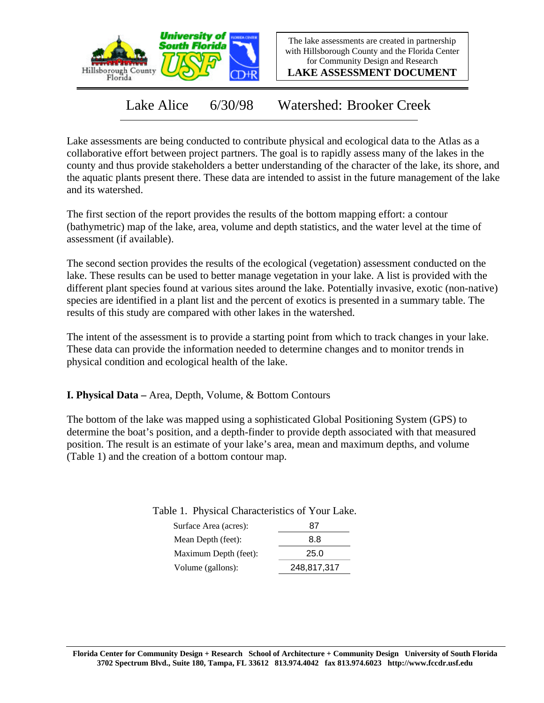

The lake assessments are created in partnership with Hillsborough County and the Florida Center for Community Design and Research

**LAKE ASSESSMENT DOCUMENT**

Lake Alice 6/30/98 Watershed: Brooker Creek

Lake assessments are being conducted to contribute physical and ecological data to the Atlas as a collaborative effort between project partners. The goal is to rapidly assess many of the lakes in the county and thus provide stakeholders a better understanding of the character of the lake, its shore, and the aquatic plants present there. These data are intended to assist in the future management of the lake and its watershed.

The first section of the report provides the results of the bottom mapping effort: a contour (bathymetric) map of the lake, area, volume and depth statistics, and the water level at the time of assessment (if available).

The second section provides the results of the ecological (vegetation) assessment conducted on the lake. These results can be used to better manage vegetation in your lake. A list is provided with the different plant species found at various sites around the lake. Potentially invasive, exotic (non-native) species are identified in a plant list and the percent of exotics is presented in a summary table. The results of this study are compared with other lakes in the watershed.

The intent of the assessment is to provide a starting point from which to track changes in your lake. These data can provide the information needed to determine changes and to monitor trends in physical condition and ecological health of the lake.

**I. Physical Data –** Area, Depth, Volume, & Bottom Contours

The bottom of the lake was mapped using a sophisticated Global Positioning System (GPS) to determine the boat's position, and a depth-finder to provide depth associated with that measured position. The result is an estimate of your lake's area, mean and maximum depths, and volume (Table 1) and the creation of a bottom contour map.

Table 1. Physical Characteristics of Your Lake.

| Surface Area (acres): | 87          |  |  |
|-----------------------|-------------|--|--|
| Mean Depth (feet):    | 8.8         |  |  |
| Maximum Depth (feet): | 25.0        |  |  |
| Volume (gallons):     | 248,817,317 |  |  |
|                       |             |  |  |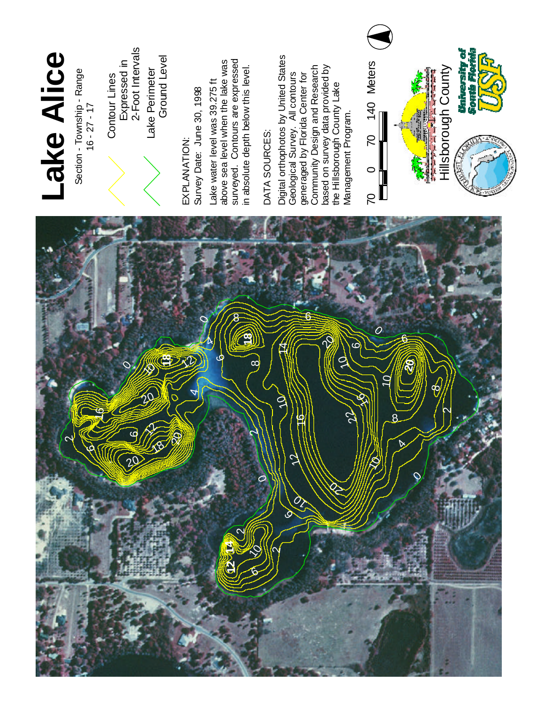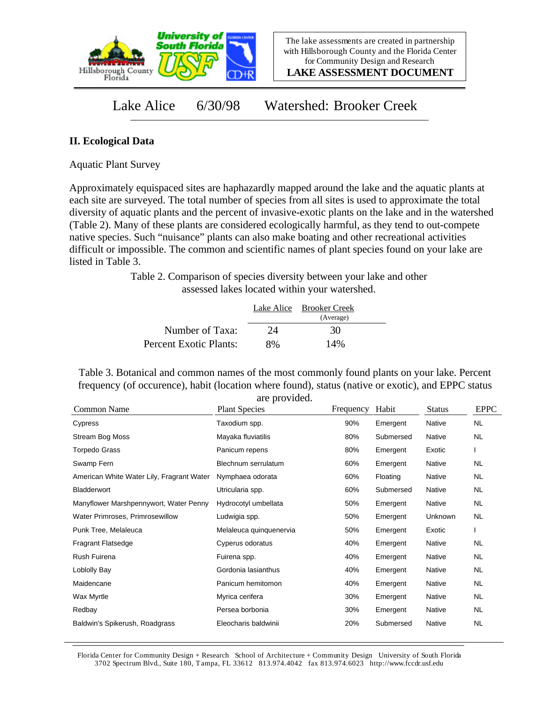

**LAKE ASSESSMENT DOCUMENT**

Lake Alice 6/30/98 Watershed: Brooker Creek

## **II. Ecological Data**

Aquatic Plant Survey

Approximately equispaced sites are haphazardly mapped around the lake and the aquatic plants at each site are surveyed. The total number of species from all sites is used to approximate the total diversity of aquatic plants and the percent of invasive-exotic plants on the lake and in the watershed (Table 2). Many of these plants are considered ecologically harmful, as they tend to out-compete native species. Such "nuisance" plants can also make boating and other recreational activities difficult or impossible. The common and scientific names of plant species found on your lake are listed in Table 3.

> Table 2. Comparison of species diversity between your lake and other assessed lakes located within your watershed.

|                        |    | Lake Alice Brooker Creek<br>(Average) |  |
|------------------------|----|---------------------------------------|--|
| Number of Taxa:        | 24 | 30                                    |  |
| Percent Exotic Plants: | 8% | 14%                                   |  |

Table 3. Botanical and common names of the most commonly found plants on your lake. Percent frequency (of occurence), habit (location where found), status (native or exotic), and EPPC status are provided.

| Common Name                               | <b>Plant Species</b>    | Frequency | Habit     | <b>Status</b> | <b>EPPC</b> |
|-------------------------------------------|-------------------------|-----------|-----------|---------------|-------------|
| Cypress                                   | Taxodium spp.           | 90%       | Emergent  | Native        | <b>NL</b>   |
| Stream Bog Moss                           | Mayaka fluviatilis      | 80%       | Submersed | Native        | NL.         |
| <b>Torpedo Grass</b>                      | Panicum repens          | 80%       | Emergent  | Exotic        |             |
| Swamp Fern                                | Blechnum serrulatum     | 60%       | Emergent  | Native        | NL          |
| American White Water Lily, Fragrant Water | Nymphaea odorata        | 60%       | Floating  | <b>Native</b> | NL.         |
| Bladderwort                               | Utricularia spp.        | 60%       | Submersed | Native        | NL          |
| Manyflower Marshpennywort, Water Penny    | Hydrocotyl umbellata    | 50%       | Emergent  | Native        | NL.         |
| Water Primroses, Primrosewillow           | Ludwigia spp.           | 50%       | Emergent  | Unknown       | NL.         |
| Punk Tree, Melaleuca                      | Melaleuca quinquenervia | 50%       | Emergent  | Exotic        |             |
| <b>Fragrant Flatsedge</b>                 | Cyperus odoratus        | 40%       | Emergent  | Native        | NL.         |
| Rush Fuirena                              | Fuirena spp.            | 40%       | Emergent  | Native        | NL.         |
| Loblolly Bay                              | Gordonia lasianthus     | 40%       | Emergent  | Native        | NL          |
| Maidencane                                | Panicum hemitomon       | 40%       | Emergent  | Native        | NL.         |
| Wax Myrtle                                | Myrica cerifera         | 30%       | Emergent  | Native        | NL.         |
| Redbay                                    | Persea borbonia         | 30%       | Emergent  | Native        | NL.         |
| Baldwin's Spikerush, Roadgrass            | Eleocharis baldwinii    | 20%       | Submersed | Native        | NL          |

Florida Center for Community Design + Research School of Architecture + Community Design University of South Florida 3702 Spectrum Blvd., Suite 180, Tampa, FL 33612 813.974.4042 fax 813.974.6023 http://www.fccdr.usf.edu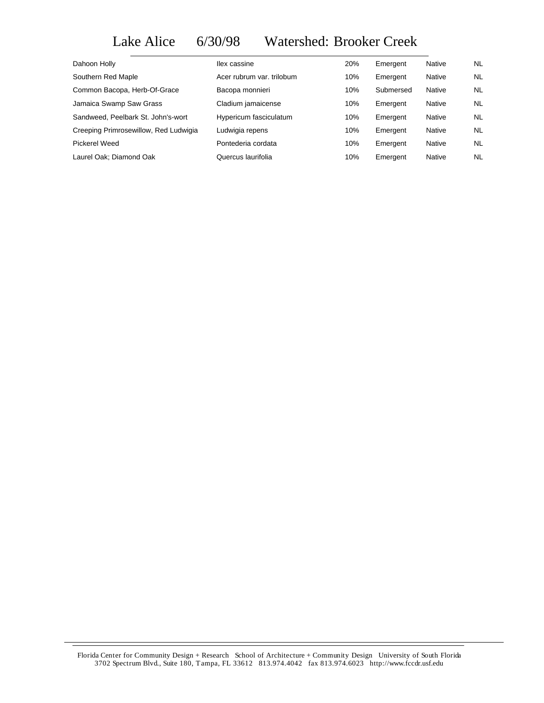## Lake Alice 6/30/98 Watershed: Brooker Creek

| Dahoon Holly                          | llex cassine              | 20% | Emergent  | Native | NL.       |
|---------------------------------------|---------------------------|-----|-----------|--------|-----------|
| Southern Red Maple                    | Acer rubrum var. trilobum | 10% | Emergent  | Native | NL.       |
| Common Bacopa, Herb-Of-Grace          | Bacopa monnieri           | 10% | Submersed | Native | <b>NL</b> |
| Jamaica Swamp Saw Grass               | Cladium jamaicense        | 10% | Emergent  | Native | NL.       |
| Sandweed, Peelbark St. John's-wort    | Hypericum fasciculatum    | 10% | Emergent  | Native | NL.       |
| Creeping Primrosewillow, Red Ludwigia | Ludwigia repens           | 10% | Emergent  | Native | NL.       |
| Pickerel Weed                         | Pontederia cordata        | 10% | Emergent  | Native | NL.       |
| Laurel Oak; Diamond Oak               | Quercus laurifolia        | 10% | Emergent  | Native | <b>NL</b> |

Florida Center for Community Design + Research School of Architecture + Community Design University of South Florida 3702 Spectrum Blvd., Suite 180, Tampa, FL 33612 813.974.4042 fax 813.974.6023 http://www.fccdr.usf.edu